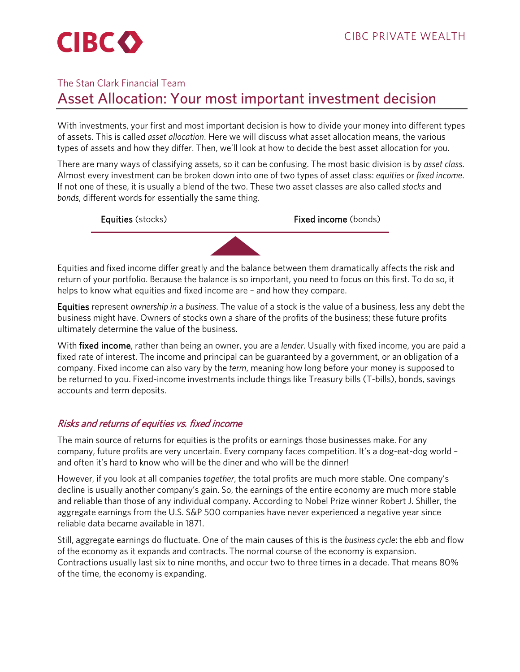# The Stan Clark Financial Team Asset Allocation: Your most important investment decision

With investments, your first and most important decision is how to divide your money into different types of assets. This is called *asset allocation*. Here we will discuss what asset allocation means, the various types of assets and how they differ. Then, we'll look at how to decide the best asset allocation for you.

There are many ways of classifying assets, so it can be confusing. The most basic division is by *asset class*. Almost every investment can be broken down into one of two types of asset class: *equities* or *fixed income*. If not one of these, it is usually a blend of the two. These two asset classes are also called *stocks* and *bonds*, different words for essentially the same thing.



Equities and fixed income differ greatly and the balance between them dramatically affects the risk and return of your portfolio. Because the balance is so important, you need to focus on this first. To do so, it helps to know what equities and fixed income are – and how they compare.

Equities represent *ownership in* a *business*. The value of a stock is the value of a business, less any debt the business might have. Owners of stocks own a share of the profits of the business; these future profits ultimately determine the value of the business.

With fixed income, rather than being an owner, you are a *lender*. Usually with fixed income, you are paid a fixed rate of interest. The income and principal can be guaranteed by a government, or an obligation of a company. Fixed income can also vary by the *term*, meaning how long before your money is supposed to be returned to you. Fixed-income investments include things like Treasury bills (T-bills), bonds, savings accounts and term deposits.

# Risks and returns of equities vs. fixed income

The main source of returns for equities is the profits or earnings those businesses make. For any company, future profits are very uncertain. Every company faces competition. It's a dog-eat-dog world – and often it's hard to know who will be the diner and who will be the dinner!

However, if you look at all companies *together*, the total profits are much more stable. One company's decline is usually another company's gain. So, the earnings of the entire economy are much more stable and reliable than those of any individual company. According to Nobel Prize winner Robert J. Shiller, the aggregate earnings from the U.S. S&P 500 companies have never experienced a negative year since reliable data became available in 1871.

Still, aggregate earnings do fluctuate. One of the main causes of this is the *business cycle*: the ebb and flow of the economy as it expands and contracts. The normal course of the economy is expansion. Contractions usually last six to nine months, and occur two to three times in a decade. That means 80% of the time, the economy is expanding.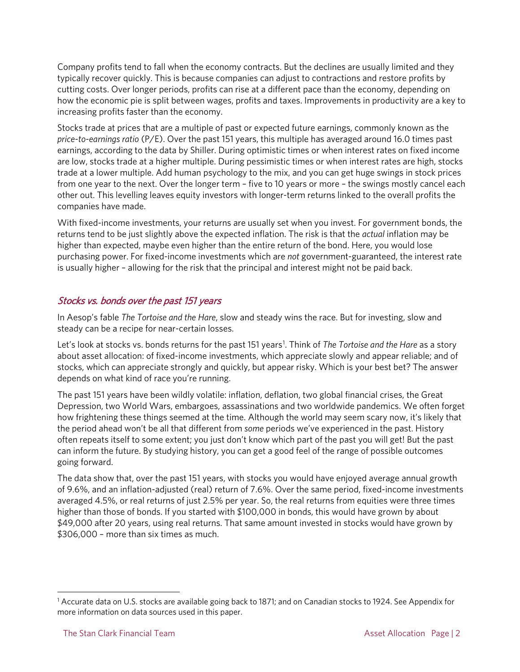Company profits tend to fall when the economy contracts. But the declines are usually limited and they typically recover quickly. This is because companies can adjust to contractions and restore profits by cutting costs. Over longer periods, profits can rise at a different pace than the economy, depending on how the economic pie is split between wages, profits and taxes. Improvements in productivity are a key to increasing profits faster than the economy.

Stocks trade at prices that are a multiple of past or expected future earnings, commonly known as the *price-to-earnings ratio* (P/E). Over the past 151 years, this multiple has averaged around 16.0 times past earnings, according to the data by Shiller. During optimistic times or when interest rates on fixed income are low, stocks trade at a higher multiple. During pessimistic times or when interest rates are high, stocks trade at a lower multiple. Add human psychology to the mix, and you can get huge swings in stock prices from one year to the next. Over the longer term – five to 10 years or more – the swings mostly cancel each other out. This levelling leaves equity investors with longer-term returns linked to the overall profits the companies have made.

With fixed-income investments, your returns are usually set when you invest. For government bonds, the returns tend to be just slightly above the expected inflation. The risk is that the *actual* inflation may be higher than expected, maybe even higher than the entire return of the bond. Here, you would lose purchasing power. For fixed-income investments which are *not* government-guaranteed, the interest rate is usually higher – allowing for the risk that the principal and interest might not be paid back.

### Stocks vs. bonds over the past 151 years

In Aesop's fable *The Tortoise and the Hare*, slow and steady wins the race. But for investing, slow and steady can be a recipe for near-certain losses.

Let's look at stocks vs. bonds returns for the past [1](#page-1-0)51 years<sup>1</sup>. Think of *The Tortoise and the Hare* as a story about asset allocation: of fixed-income investments, which appreciate slowly and appear reliable; and of stocks, which can appreciate strongly and quickly, but appear risky. Which is your best bet? The answer depends on what kind of race you're running.

The past 151 years have been wildly volatile: inflation, deflation, two global financial crises, the Great Depression, two World Wars, embargoes, assassinations and two worldwide pandemics. We often forget how frightening these things seemed at the time. Although the world may seem scary now, it's likely that the period ahead won't be all that different from *some* periods we've experienced in the past. History often repeats itself to some extent; you just don't know which part of the past you will get! But the past can inform the future. By studying history, you can get a good feel of the range of possible outcomes going forward.

The data show that, over the past 151 years, with stocks you would have enjoyed average annual growth of 9.6%, and an inflation-adjusted (real) return of 7.6%. Over the same period, fixed-income investments averaged 4.5%, or real returns of just 2.5% per year. So, the real returns from equities were three times higher than those of bonds. If you started with \$100,000 in bonds, this would have grown by about \$49,000 after 20 years, using real returns. That same amount invested in stocks would have grown by \$306,000 – more than six times as much.

<span id="page-1-0"></span><sup>1</sup> Accurate data on U.S. stocks are available going back to 1871; and on Canadian stocks to 1924. See Appendix for more information on data sources used in this paper.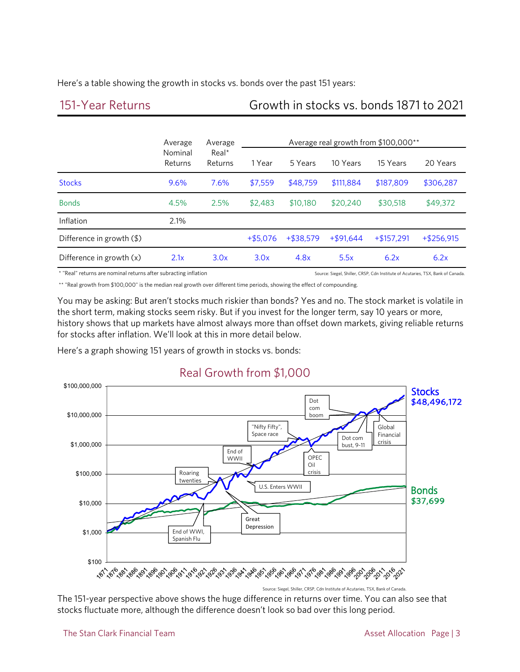Here's a table showing the growth in stocks vs. bonds over the past 151 years:

# 151-Year Returns Growth in stocks vs. bonds 1871 to 2021

|                                      | Average<br>Nominal<br>Returns | Average<br>$Real*$<br>Returns | Average real growth from \$100,000** |             |             |              |              |
|--------------------------------------|-------------------------------|-------------------------------|--------------------------------------|-------------|-------------|--------------|--------------|
|                                      |                               |                               | 1 Year                               | 5 Years     | 10 Years    | 15 Years     | 20 Years     |
| <b>Stocks</b>                        | 9.6%                          | 7.6%                          | \$7,559                              | \$48,759    | \$111,884   | \$187,809    | \$306,287    |
| <b>Bonds</b>                         | 4.5%                          | 2.5%                          | \$2,483                              | \$10,180    | \$20,240    | \$30,518     | \$49,372     |
| Inflation                            | 2.1%                          |                               |                                      |             |             |              |              |
| Difference in growth $(\frac{4}{9})$ |                               |                               | $+ $5.076$                           | $+ $38.579$ | $+ $91.644$ | $+ $157.291$ | $+ $256,915$ |
| Difference in growth (x)             | 2.1x                          | 3.0x                          | 3.0x                                 | 4.8x        | 5.5x        | 6.2x         | 6.2x         |

\* "Real" returns are nominal returns after subracting inflation Source: Siegel, Shiller, CRSP, Can Institute of Acutaries, TSX, Bank of Canada

\*\* "Real growth from \$100,000" is the median real growth over different time periods, showing the effect of compounding.

You may be asking: But aren't stocks much riskier than bonds? Yes and no. The stock market is volatile in the short term, making stocks seem risky. But if you invest for the longer term, say 10 years or more, history shows that up markets have almost always more than offset down markets, giving reliable returns for stocks after inflation. We'll look at this in more detail below.

Here's a graph showing 151 years of growth in stocks vs. bonds:



# Real Growth from \$1,000

Source: Siegel, Shiller, CRSP, Cdn Institute of Acutaries, TSX, Bank of Canada.

The 151-year perspective above shows the huge difference in returns over time. You can also see that stocks fluctuate more, although the difference doesn't look so bad over this long period.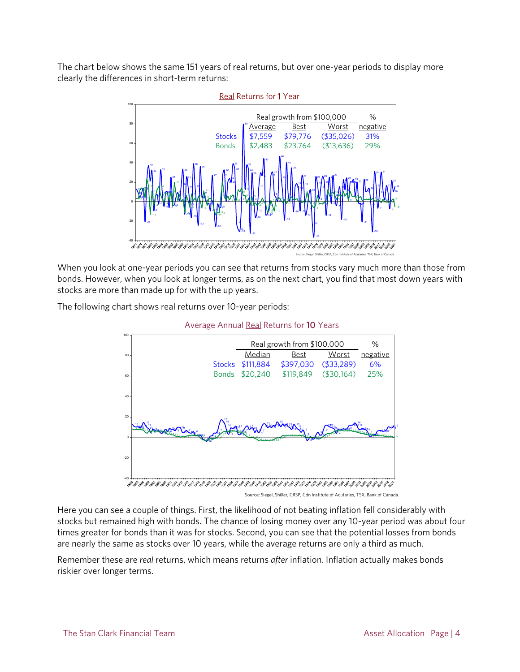The chart below shows the same 151 years of real returns, but over one-year periods to display more clearly the differences in short-term returns:



When you look at one-year periods you can see that returns from stocks vary much more than those from bonds. However, when you look at longer terms, as on the next chart, you find that most down years with stocks are more than made up for with the up years.

The following chart shows real returns over 10-year periods:

Average Annual Real Returns for 10 Years



Source: Siegel, Shiller, CRSP, Cdn Institute of Acutaries, TSX, Bank of Canada.

Here you can see a couple of things. First, the likelihood of not beating inflation fell considerably with stocks but remained high with bonds. The chance of losing money over any 10-year period was about four times greater for bonds than it was for stocks. Second, you can see that the potential losses from bonds are nearly the same as stocks over 10 years, while the average returns are only a third as much.

Remember these are *real* returns, which means returns *after* inflation. Inflation actually makes bonds riskier over longer terms.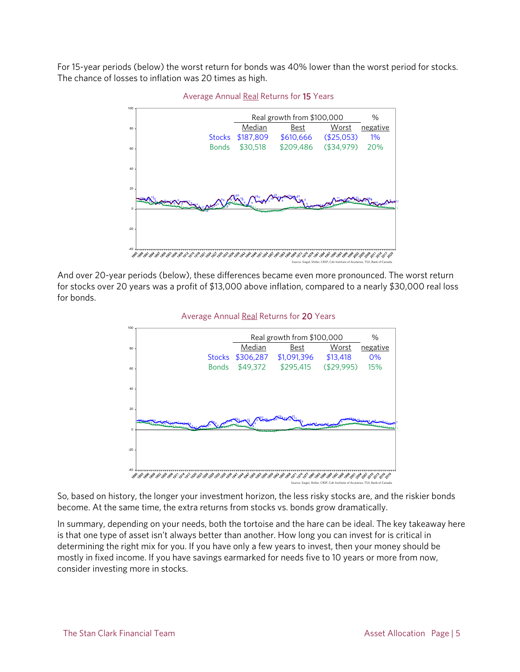For 15-year periods (below) the worst return for bonds was 40% lower than the worst period for stocks. The chance of losses to inflation was 20 times as high.



Average Annual Real Returns for 15 Years

And over 20-year periods (below), these differences became even more pronounced. The worst return for stocks over 20 years was a profit of \$13,000 above inflation, compared to a nearly \$30,000 real loss for bonds.





Source: Siegel, Shiller, CRSP, Cdn Institute of Acutaries, TSX, Bank of Canada.

So, based on history, the longer your investment horizon, the less risky stocks are, and the riskier bonds become. At the same time, the extra returns from stocks vs. bonds grow dramatically.

In summary, depending on your needs, both the tortoise and the hare can be ideal. The key takeaway here is that one type of asset isn't always better than another. How long you can invest for is critical in determining the right mix for you. If you have only a few years to invest, then your money should be mostly in fixed income. If you have savings earmarked for needs five to 10 years or more from now, consider investing more in stocks.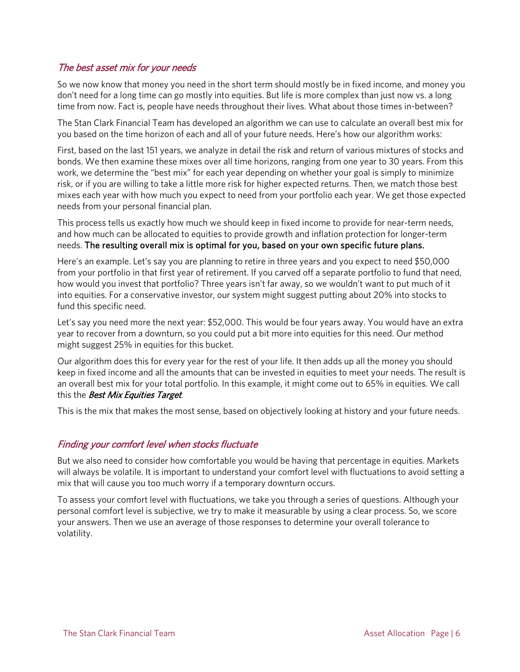#### The best asset mix for your needs

So we now know that money you need in the short term should mostly be in fixed income, and money you don't need for a long time can go mostly into equities. But life is more complex than just now vs. a long time from now. Fact is, people have needs throughout their lives. What about those times in-between?

The Stan Clark Financial Team has developed an algorithm we can use to calculate an overall best mix for you based on the time horizon of each and all of your future needs. Here's how our algorithm works:

First, based on the last 151 years, we analyze in detail the risk and return of various mixtures of stocks and bonds. We then examine these mixes over all time horizons, ranging from one year to 30 years. From this work, we determine the "best mix" for each year depending on whether your goal is simply to minimize risk, or if you are willing to take a little more risk for higher expected returns. Then, we match those best mixes each year with how much you expect to need from your portfolio each year. We get those expected needs from your personal financial plan.

This process tells us exactly how much we should keep in fixed income to provide for near-term needs, and how much can be allocated to equities to provide growth and inflation protection for longer-term needs. The resulting overall mix is optimal for you, based on your own specific future plans.

Here's an example. Let's say you are planning to retire in three years and you expect to need \$50,000 from your portfolio in that first year of retirement. If you carved off a separate portfolio to fund that need, how would you invest that portfolio? Three years isn't far away, so we wouldn't want to put much of it into equities. For a conservative investor, our system might suggest putting about 20% into stocks to fund this specific need.

Let's say you need more the next year: \$52,000. This would be four years away. You would have an extra year to recover from a downturn, so you could put a bit more into equities for this need. Our method might suggest 25% in equities for this bucket.

Our algorithm does this for every year for the rest of your life. It then adds up all the money you should keep in fixed income and all the amounts that can be invested in equities to meet your needs. The result is an overall best mix for your total portfolio. In this example, it might come out to 65% in equities. We call this the Best Mix Equities Target.

This is the mix that makes the most sense, based on objectively looking at history and your future needs.

#### Finding your comfort level when stocks fluctuate

But we also need to consider how comfortable you would be having that percentage in equities. Markets will always be volatile. It is important to understand your comfort level with fluctuations to avoid setting a mix that will cause you too much worry if a temporary downturn occurs.

To assess your comfort level with fluctuations, we take you through a series of questions. Although your personal comfort level is subjective, we try to make it measurable by using a clear process. So, we score your answers. Then we use an average of those responses to determine your overall tolerance to volatility.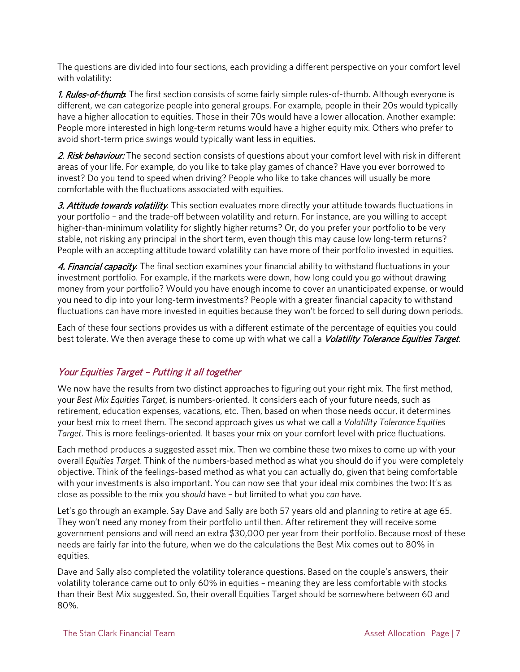The questions are divided into four sections, each providing a different perspective on your comfort level with volatility:

1. Rules-of-thumb: The first section consists of some fairly simple rules-of-thumb. Although everyone is different, we can categorize people into general groups. For example, people in their 20s would typically have a higher allocation to equities. Those in their 70s would have a lower allocation. Another example: People more interested in high long-term returns would have a higher equity mix. Others who prefer to avoid short-term price swings would typically want less in equities.

2. Risk behaviour: The second section consists of questions about your comfort level with risk in different areas of your life. For example, do you like to take play games of chance? Have you ever borrowed to invest? Do you tend to speed when driving? People who like to take chances will usually be more comfortable with the fluctuations associated with equities.

3. Attitude towards volatility: This section evaluates more directly your attitude towards fluctuations in your portfolio – and the trade-off between volatility and return. For instance, are you willing to accept higher-than-minimum volatility for slightly higher returns? Or, do you prefer your portfolio to be very stable, not risking any principal in the short term, even though this may cause low long-term returns? People with an accepting attitude toward volatility can have more of their portfolio invested in equities.

4. Financial capacity. The final section examines your financial ability to withstand fluctuations in your investment portfolio. For example, if the markets were down, how long could you go without drawing money from your portfolio? Would you have enough income to cover an unanticipated expense, or would you need to dip into your long-term investments? People with a greater financial capacity to withstand fluctuations can have more invested in equities because they won't be forced to sell during down periods.

Each of these four sections provides us with a different estimate of the percentage of equities you could best tolerate. We then average these to come up with what we call a *Volatility Tolerance Equities Target*.

### Your Equities Target – Putting it all together

We now have the results from two distinct approaches to figuring out your right mix. The first method, your *Best Mix Equities Target*, is numbers-oriented. It considers each of your future needs, such as retirement, education expenses, vacations, etc. Then, based on when those needs occur, it determines your best mix to meet them. The second approach gives us what we call a *Volatility Tolerance Equities Target*. This is more feelings-oriented. It bases your mix on your comfort level with price fluctuations.

Each method produces a suggested asset mix. Then we combine these two mixes to come up with your overall *Equities Target*. Think of the numbers-based method as what you should do if you were completely objective. Think of the feelings-based method as what you can actually do, given that being comfortable with your investments is also important. You can now see that your ideal mix combines the two: It's as close as possible to the mix you *should* have – but limited to what you *can* have.

Let's go through an example. Say Dave and Sally are both 57 years old and planning to retire at age 65. They won't need any money from their portfolio until then. After retirement they will receive some government pensions and will need an extra \$30,000 per year from their portfolio. Because most of these needs are fairly far into the future, when we do the calculations the Best Mix comes out to 80% in equities.

Dave and Sally also completed the volatility tolerance questions. Based on the couple's answers, their volatility tolerance came out to only 60% in equities – meaning they are less comfortable with stocks than their Best Mix suggested. So, their overall Equities Target should be somewhere between 60 and 80%.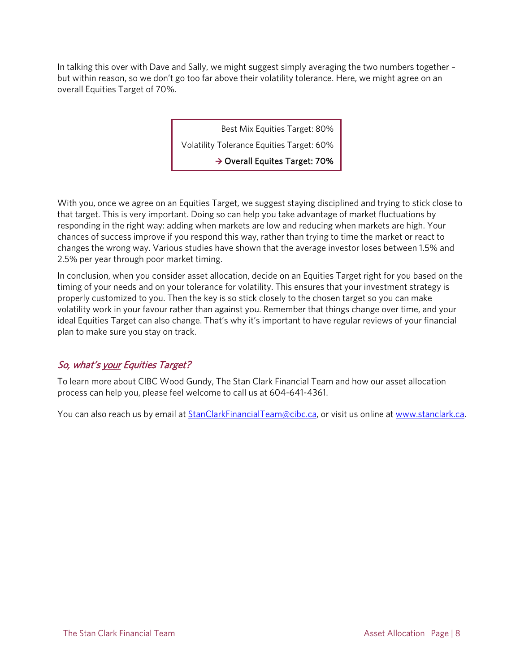In talking this over with Dave and Sally, we might suggest simply averaging the two numbers together – but within reason, so we don't go too far above their volatility tolerance. Here, we might agree on an overall Equities Target of 70%.

Best Mix Equities Target: 80%

Volatility Tolerance Equities Target: 60%

 $\rightarrow$  Overall Equites Target: 70%

With you, once we agree on an Equities Target, we suggest staying disciplined and trying to stick close to that target. This is very important. Doing so can help you take advantage of market fluctuations by responding in the right way: adding when markets are low and reducing when markets are high. Your chances of success improve if you respond this way, rather than trying to time the market or react to changes the wrong way. Various studies have shown that the average investor loses between 1.5% and 2.5% per year through poor market timing.

In conclusion, when you consider asset allocation, decide on an Equities Target right for you based on the timing of your needs and on your tolerance for volatility. This ensures that your investment strategy is properly customized to you. Then the key is so stick closely to the chosen target so you can make volatility work in your favour rather than against you. Remember that things change over time, and your ideal Equities Target can also change. That's why it's important to have regular reviews of your financial plan to make sure you stay on track.

### So, what's your Equities Target?

To learn more about CIBC Wood Gundy, The Stan Clark Financial Team and how our asset allocation process can help you, please feel welcome to call us at 604-641-4361.

You can also reach us by email at **StanClarkFinancialTeam@cibc.ca**, or visit us online at [www.stanclark.ca.](http://www.stanclark.ca/)